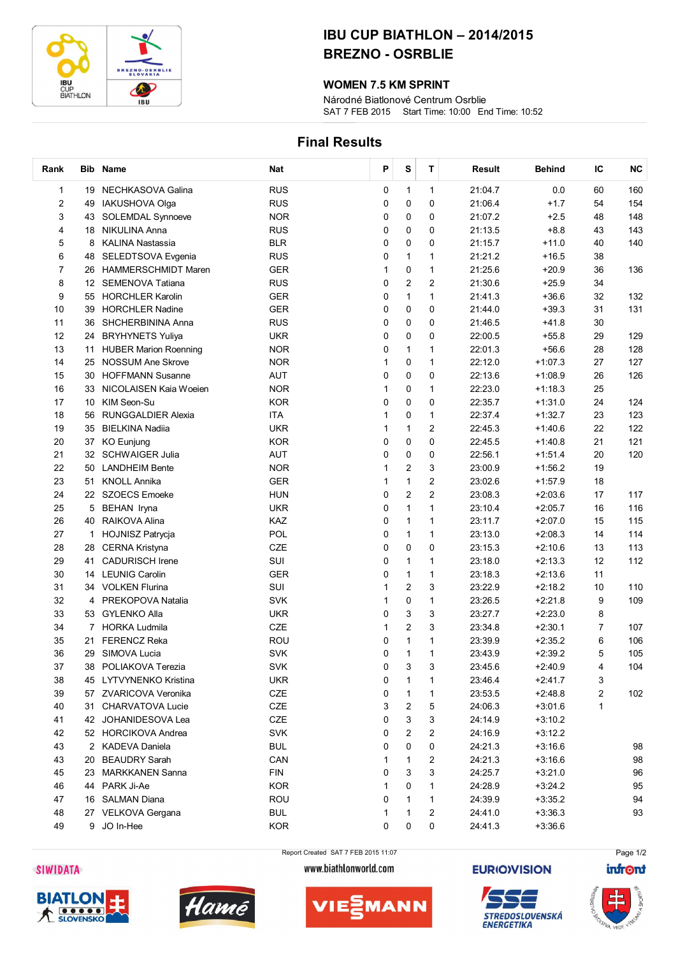

## IBU CUP BIATHLON – 2014/2015 BREZNO - OSRBLIE

### WOMEN 7.5 KM SPRINT

SAT 7 FEB 2015 Start Time: 10:00 End Time: 10:52 Národné Biatlonové Centrum Osrblie

## Final Results

| Rank           |                   | Bib Name                     | <b>Nat</b> | Ρ | S                       | $\mathbf T$             | Result  | <b>Behind</b> | IC             | <b>NC</b> |
|----------------|-------------------|------------------------------|------------|---|-------------------------|-------------------------|---------|---------------|----------------|-----------|
| 1              |                   | 19 NECHKASOVA Galina         | <b>RUS</b> | 0 | $\mathbf{1}$            | $\mathbf{1}$            | 21:04.7 | 0.0           | 60             | 160       |
| $\overline{c}$ | 49                | <b>IAKUSHOVA Olga</b>        | <b>RUS</b> | 0 | 0                       | 0                       | 21:06.4 | $+1.7$        | 54             | 154       |
| 3              | 43                | <b>SOLEMDAL Synnoeve</b>     | <b>NOR</b> | 0 | 0                       | 0                       | 21:07.2 | $+2.5$        | 48             | 148       |
| 4              | 18                | <b>NIKULINA Anna</b>         | <b>RUS</b> | 0 | 0                       | 0                       | 21:13.5 | $+8.8$        | 43             | 143       |
| 5              | 8                 | KALINA Nastassia             | <b>BLR</b> | 0 | 0                       | 0                       | 21:15.7 | $+11.0$       | 40             | 140       |
| 6              | 48                | SELEDTSOVA Evgenia           | <b>RUS</b> | 0 | $\mathbf{1}$            | 1                       | 21:21.2 | $+16.5$       | 38             |           |
| 7              | 26                | <b>HAMMERSCHMIDT Maren</b>   | <b>GER</b> | 1 | $\pmb{0}$               | $\mathbf{1}$            | 21:25.6 | $+20.9$       | 36             | 136       |
| 8              | $12 \overline{ }$ | SEMENOVA Tatiana             | <b>RUS</b> | 0 | $\overline{c}$          | $\overline{c}$          | 21:30.6 | $+25.9$       | 34             |           |
| 9              | 55                | <b>HORCHLER Karolin</b>      | <b>GER</b> | 0 | 1                       | 1                       | 21:41.3 | $+36.6$       | 32             | 132       |
| 10             | 39                | <b>HORCHLER Nadine</b>       | <b>GER</b> | 0 | 0                       | 0                       | 21:44.0 | $+39.3$       | 31             | 131       |
| 11             | 36                | SHCHERBININA Anna            | <b>RUS</b> | 0 | 0                       | 0                       | 21:46.5 | $+41.8$       | 30             |           |
| 12             | 24                | <b>BRYHYNETS Yuliya</b>      | <b>UKR</b> | 0 | 0                       | 0                       | 22:00.5 | $+55.8$       | 29             | 129       |
| 13             | 11                | <b>HUBER Marion Roenning</b> | <b>NOR</b> | 0 | 1                       | 1                       | 22:01.3 | $+56.6$       | 28             | 128       |
| 14             | 25                | <b>NOSSUM Ane Skrove</b>     | <b>NOR</b> | 1 | 0                       | 1                       | 22:12.0 | $+1:07.3$     | 27             | 127       |
| 15             | 30                | <b>HOFFMANN Susanne</b>      | <b>AUT</b> | 0 | 0                       | 0                       | 22:13.6 | $+1:08.9$     | 26             | 126       |
| 16             | 33                | NICOLAISEN Kaia Woeien       | <b>NOR</b> | 1 | 0                       | 1                       | 22:23.0 | $+1:18.3$     | 25             |           |
| 17             | 10                | KIM Seon-Su                  | <b>KOR</b> | 0 | 0                       | 0                       | 22:35.7 | $+1:31.0$     | 24             | 124       |
| 18             | 56                | <b>RUNGGALDIER Alexia</b>    | <b>ITA</b> | 1 | 0                       | 1                       | 22:37.4 | $+1:32.7$     | 23             | 123       |
| 19             | 35                | <b>BIELKINA Nadiia</b>       | <b>UKR</b> | 1 | 1                       | $\overline{c}$          | 22:45.3 | $+1:40.6$     | 22             | 122       |
| 20             |                   | 37 KO Eunjung                | <b>KOR</b> | 0 | 0                       | 0                       | 22:45.5 | $+1:40.8$     | 21             | 121       |
| 21             | 32                | <b>SCHWAIGER Julia</b>       | <b>AUT</b> | 0 | 0                       | 0                       | 22:56.1 | $+1:51.4$     | 20             | 120       |
| 22             | 50                | <b>LANDHEIM Bente</b>        | <b>NOR</b> | 1 | $\overline{c}$          | 3                       | 23:00.9 | $+1:56.2$     | 19             |           |
| 23             | 51                | <b>KNOLL Annika</b>          | <b>GER</b> | 1 | 1                       | $\overline{\mathbf{c}}$ | 23:02.6 | $+1:57.9$     | 18             |           |
| 24             |                   | 22 SZOECS Emoeke             | <b>HUN</b> | 0 | $\overline{\mathbf{c}}$ | $\overline{c}$          | 23:08.3 | $+2:03.6$     | 17             | 117       |
| 25             | 5                 | BEHAN Iryna                  | <b>UKR</b> | 0 | $\mathbf{1}$            | $\mathbf{1}$            | 23:10.4 | $+2:05.7$     | 16             | 116       |
| 26             | 40                | RAIKOVA Alina                | <b>KAZ</b> | 0 | 1                       | 1                       | 23:11.7 | $+2:07.0$     | 15             | 115       |
| 27             | 1                 | <b>HOJNISZ Patrycja</b>      | POL        | 0 | $\mathbf{1}$            | 1                       | 23:13.0 | $+2:08.3$     | 14             | 114       |
| 28             | 28                | <b>CERNA Kristyna</b>        | CZE        | 0 | 0                       | 0                       | 23:15.3 | $+2:10.6$     | 13             | 113       |
| 29             | 41                | <b>CADURISCH Irene</b>       | SUI        | 0 | 1                       | 1                       | 23:18.0 | $+2:13.3$     | 12             | 112       |
| 30             |                   | 14 LEUNIG Carolin            | <b>GER</b> | 0 | 1                       | 1                       | 23:18.3 | $+2:13.6$     | 11             |           |
| 31             |                   | 34 VOLKEN Flurina            | SUI        | 1 | 2                       | 3                       | 23:22.9 | $+2:18.2$     | 10             | 110       |
| 32             | 4                 | PREKOPOVA Natalia            | <b>SVK</b> | 1 | 0                       | 1                       | 23:26.5 | $+2:21.8$     | 9              | 109       |
| 33             | 53                | <b>GYLENKO Alla</b>          | <b>UKR</b> | 0 | 3                       | 3                       | 23:27.7 | $+2:23.0$     | 8              |           |
| 34             | 7                 | <b>HORKA Ludmila</b>         | <b>CZE</b> | 1 | 2                       | 3                       | 23:34.8 | $+2:30.1$     | $\overline{7}$ | 107       |
| 35             | 21                | <b>FERENCZ Reka</b>          | ROU        | 0 | 1                       | $\mathbf{1}$            | 23:39.9 | $+2:35.2$     | 6              | 106       |
| 36             |                   | 29 SIMOVA Lucia              | <b>SVK</b> | 0 | 1                       | 1                       | 23:43.9 | $+2:39.2$     | 5              | 105       |
| 37             |                   | 38 POLIAKOVA Terezia         | SVK        | 0 | 3                       | 3                       | 23:45.6 | $+2:40.9$     | 4              | 104       |
| 38             |                   | 45 LYTVYNENKO Kristina       | <b>UKR</b> | 0 | 1                       | 1                       | 23:46.4 | $+2:41.7$     | 3              |           |
| 39             |                   | 57 ZVARICOVA Veronika        | CZE        | 0 | 1                       | 1                       | 23:53.5 | $+2:48.8$     | 2              | 102       |
| 40             | 31                | CHARVATOVA Lucie             | CZE        | 3 | 2                       | 5                       | 24:06.3 | $+3:01.6$     | 1              |           |
| 41             |                   | 42 JOHANIDESOVA Lea          | CZE        | 0 | 3                       | 3                       | 24:14.9 | $+3:10.2$     |                |           |
| 42             |                   | 52 HORCIKOVA Andrea          | <b>SVK</b> | 0 | 2                       | 2                       | 24:16.9 | $+3:12.2$     |                |           |
| 43             |                   | 2 KADEVA Daniela             | <b>BUL</b> | 0 | 0                       | 0                       | 24:21.3 | $+3:16.6$     |                | 98        |
| 43             | 20                | <b>BEAUDRY Sarah</b>         | CAN        | 1 | 1                       | 2                       | 24:21.3 | $+3:16.6$     |                | 98        |
| 45             |                   | 23 MARKKANEN Sanna           | <b>FIN</b> | 0 | 3                       | 3                       | 24:25.7 | $+3:21.0$     |                | 96        |
| 46             |                   | 44 PARK Ji-Ae                | <b>KOR</b> | 1 | 0                       | 1                       | 24:28.9 | $+3:24.2$     |                | 95        |
| 47             |                   | 16 SALMAN Diana              | <b>ROU</b> | 0 | 1                       | 1                       | 24:39.9 | $+3:35.2$     |                | 94        |
| 48             |                   | 27 VELKOVA Gergana           | <b>BUL</b> | 1 | 1                       | 2                       | 24:41.0 | $+3:36.3$     |                | 93        |
| 49             |                   | 9 JO In-Hee                  | <b>KOR</b> | 0 | 0                       | 0                       | 24:41.3 | $+3:36.6$     |                |           |
|                |                   |                              |            |   |                         |                         |         |               |                |           |







Report Created SAT 7 FEB 2015 11:07 www.biathlonworld.com







STREDOSLOVENSKÁ